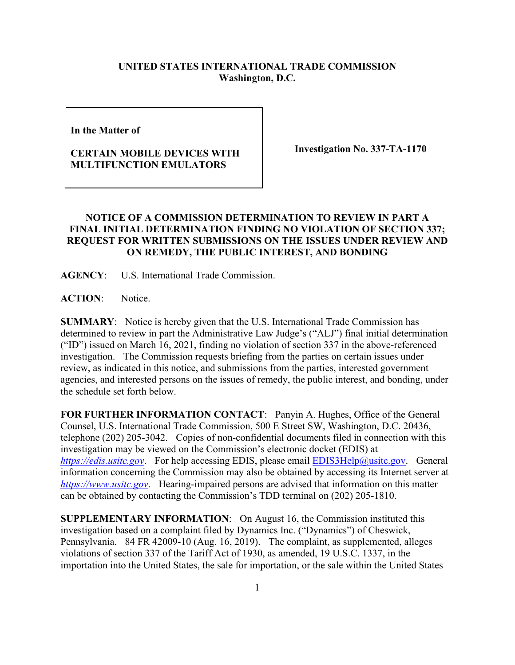## **UNITED STATES INTERNATIONAL TRADE COMMISSION Washington, D.C.**

**In the Matter of** 

## **CERTAIN MOBILE DEVICES WITH MULTIFUNCTION EMULATORS**

**Investigation No. 337-TA-1170**

## **NOTICE OF A COMMISSION DETERMINATION TO REVIEW IN PART A FINAL INITIAL DETERMINATION FINDING NO VIOLATION OF SECTION 337; REQUEST FOR WRITTEN SUBMISSIONS ON THE ISSUES UNDER REVIEW AND ON REMEDY, THE PUBLIC INTEREST, AND BONDING**

**AGENCY**: U.S. International Trade Commission.

**ACTION**: Notice.

**SUMMARY**: Notice is hereby given that the U.S. International Trade Commission has determined to review in part the Administrative Law Judge's ("ALJ") final initial determination ("ID") issued on March 16, 2021, finding no violation of section 337 in the above-referenced investigation. The Commission requests briefing from the parties on certain issues under review, as indicated in this notice, and submissions from the parties, interested government agencies, and interested persons on the issues of remedy, the public interest, and bonding, under the schedule set forth below.

**FOR FURTHER INFORMATION CONTACT**: Panyin A. Hughes, Office of the General Counsel, U.S. International Trade Commission, 500 E Street SW, Washington, D.C. 20436, telephone (202) 205-3042. Copies of non-confidential documents filed in connection with this investigation may be viewed on the Commission's electronic docket (EDIS) at *[https://edis.usitc.gov](https://edis.usitc.gov/).* For help accessing EDIS, please email **EDIS3Help@usitc.gov**. General information concerning the Commission may also be obtained by accessing its Internet server at *[https://www.usitc.gov](https://www.usitc.gov/)*. Hearing-impaired persons are advised that information on this matter can be obtained by contacting the Commission's TDD terminal on (202) 205-1810.

**SUPPLEMENTARY INFORMATION**: On August 16, the Commission instituted this investigation based on a complaint filed by Dynamics Inc. ("Dynamics") of Cheswick, Pennsylvania. 84 FR 42009-10 (Aug. 16, 2019). The complaint, as supplemented, alleges violations of section 337 of the Tariff Act of 1930, as amended, 19 U.S.C. 1337, in the importation into the United States, the sale for importation, or the sale within the United States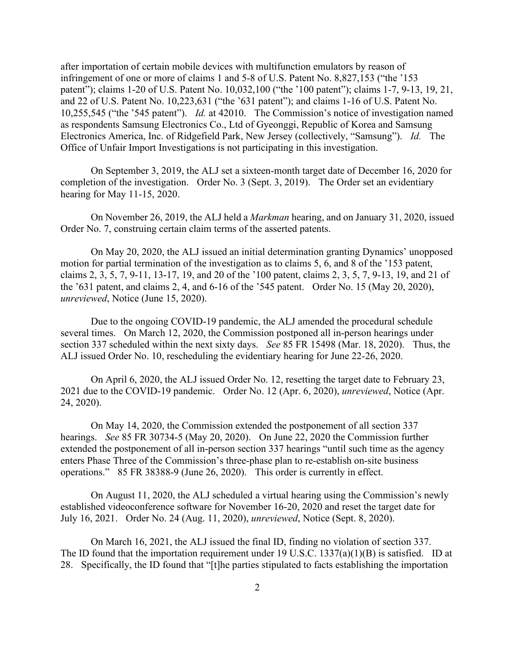after importation of certain mobile devices with multifunction emulators by reason of infringement of one or more of claims 1 and 5-8 of U.S. Patent No. 8,827,153 ("the '153 patent"); claims 1-20 of U.S. Patent No. 10,032,100 ("the '100 patent"); claims 1-7, 9-13, 19, 21, and 22 of U.S. Patent No. 10,223,631 ("the '631 patent"); and claims 1-16 of U.S. Patent No. 10,255,545 ("the '545 patent"). *Id.* at 42010. The Commission's notice of investigation named as respondents Samsung Electronics Co., Ltd of Gyeonggi, Republic of Korea and Samsung Electronics America, Inc. of Ridgefield Park, New Jersey (collectively, "Samsung"). *Id.* The Office of Unfair Import Investigations is not participating in this investigation.

On September 3, 2019, the ALJ set a sixteen-month target date of December 16, 2020 for completion of the investigation. Order No. 3 (Sept. 3, 2019). The Order set an evidentiary hearing for May 11-15, 2020.

On November 26, 2019, the ALJ held a *Markman* hearing, and on January 31, 2020, issued Order No. 7, construing certain claim terms of the asserted patents.

On May 20, 2020, the ALJ issued an initial determination granting Dynamics' unopposed motion for partial termination of the investigation as to claims 5, 6, and 8 of the '153 patent, claims 2, 3, 5, 7, 9-11, 13-17, 19, and 20 of the '100 patent, claims 2, 3, 5, 7, 9-13, 19, and 21 of the '631 patent, and claims 2, 4, and 6-16 of the '545 patent. Order No. 15 (May 20, 2020), *unreviewed*, Notice (June 15, 2020).

Due to the ongoing COVID-19 pandemic, the ALJ amended the procedural schedule several times. On March 12, 2020, the Commission postponed all in-person hearings under section 337 scheduled within the next sixty days. *See* 85 FR 15498 (Mar. 18, 2020). Thus, the ALJ issued Order No. 10, rescheduling the evidentiary hearing for June 22-26, 2020.

On April 6, 2020, the ALJ issued Order No. 12, resetting the target date to February 23, 2021 due to the COVID-19 pandemic. Order No. 12 (Apr. 6, 2020), *unreviewed*, Notice (Apr. 24, 2020).

On May 14, 2020, the Commission extended the postponement of all section 337 hearings. *See* 85 FR 30734-5 (May 20, 2020). On June 22, 2020 the Commission further extended the postponement of all in-person section 337 hearings "until such time as the agency enters Phase Three of the Commission's three-phase plan to re-establish on-site business operations." 85 FR 38388-9 (June 26, 2020). This order is currently in effect.

On August 11, 2020, the ALJ scheduled a virtual hearing using the Commission's newly established videoconference software for November 16-20, 2020 and reset the target date for July 16, 2021. Order No. 24 (Aug. 11, 2020), *unreviewed*, Notice (Sept. 8, 2020).

On March 16, 2021, the ALJ issued the final ID, finding no violation of section 337. The ID found that the importation requirement under 19 U.S.C. 1337(a)(1)(B) is satisfied. ID at 28. Specifically, the ID found that "[t]he parties stipulated to facts establishing the importation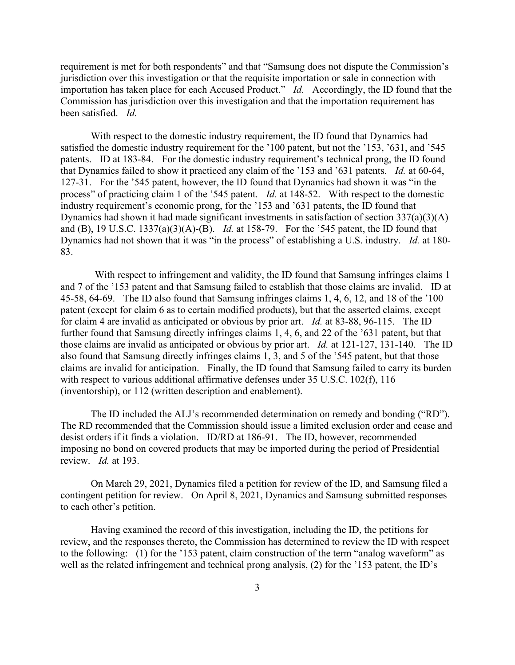requirement is met for both respondents" and that "Samsung does not dispute the Commission's jurisdiction over this investigation or that the requisite importation or sale in connection with importation has taken place for each Accused Product." *Id.* Accordingly, the ID found that the Commission has jurisdiction over this investigation and that the importation requirement has been satisfied. *Id.*

With respect to the domestic industry requirement, the ID found that Dynamics had satisfied the domestic industry requirement for the '100 patent, but not the '153, '631, and '545 patents. ID at 183-84. For the domestic industry requirement's technical prong, the ID found that Dynamics failed to show it practiced any claim of the '153 and '631 patents. *Id.* at 60-64, 127-31. For the '545 patent, however, the ID found that Dynamics had shown it was "in the process" of practicing claim 1 of the '545 patent. *Id.* at 148-52. With respect to the domestic industry requirement's economic prong, for the '153 and '631 patents, the ID found that Dynamics had shown it had made significant investments in satisfaction of section 337(a)(3)(A) and (B), 19 U.S.C. 1337(a)(3)(A)-(B). *Id.* at 158-79. For the '545 patent, the ID found that Dynamics had not shown that it was "in the process" of establishing a U.S. industry. *Id.* at 180- 83.

With respect to infringement and validity, the ID found that Samsung infringes claims 1 and 7 of the '153 patent and that Samsung failed to establish that those claims are invalid. ID at 45-58, 64-69. The ID also found that Samsung infringes claims 1, 4, 6, 12, and 18 of the '100 patent (except for claim 6 as to certain modified products), but that the asserted claims, except for claim 4 are invalid as anticipated or obvious by prior art. *Id.* at 83-88, 96-115. The ID further found that Samsung directly infringes claims 1, 4, 6, and 22 of the '631 patent, but that those claims are invalid as anticipated or obvious by prior art. *Id.* at 121-127, 131-140. The ID also found that Samsung directly infringes claims 1, 3, and 5 of the '545 patent, but that those claims are invalid for anticipation. Finally, the ID found that Samsung failed to carry its burden with respect to various additional affirmative defenses under 35 U.S.C. 102(f), 116 (inventorship), or 112 (written description and enablement).

The ID included the ALJ's recommended determination on remedy and bonding ("RD"). The RD recommended that the Commission should issue a limited exclusion order and cease and desist orders if it finds a violation. ID/RD at 186-91. The ID, however, recommended imposing no bond on covered products that may be imported during the period of Presidential review. *Id.* at 193.

On March 29, 2021, Dynamics filed a petition for review of the ID, and Samsung filed a contingent petition for review. On April 8, 2021, Dynamics and Samsung submitted responses to each other's petition.

Having examined the record of this investigation, including the ID, the petitions for review, and the responses thereto, the Commission has determined to review the ID with respect to the following: (1) for the '153 patent, claim construction of the term "analog waveform" as well as the related infringement and technical prong analysis, (2) for the '153 patent, the ID's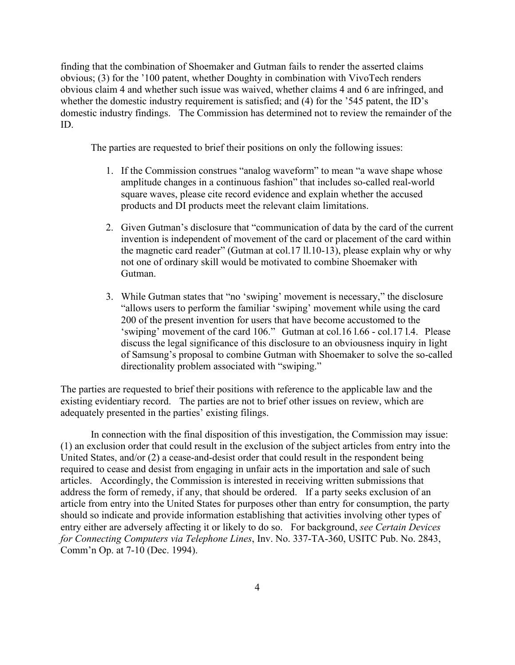finding that the combination of Shoemaker and Gutman fails to render the asserted claims obvious; (3) for the '100 patent, whether Doughty in combination with VivoTech renders obvious claim 4 and whether such issue was waived, whether claims 4 and 6 are infringed, and whether the domestic industry requirement is satisfied; and (4) for the '545 patent, the ID's domestic industry findings. The Commission has determined not to review the remainder of the ID.

The parties are requested to brief their positions on only the following issues:

- 1. If the Commission construes "analog waveform" to mean "a wave shape whose amplitude changes in a continuous fashion" that includes so-called real-world square waves, please cite record evidence and explain whether the accused products and DI products meet the relevant claim limitations.
- 2. Given Gutman's disclosure that "communication of data by the card of the current invention is independent of movement of the card or placement of the card within the magnetic card reader" (Gutman at col.17 ll.10-13), please explain why or why not one of ordinary skill would be motivated to combine Shoemaker with Gutman.
- 3. While Gutman states that "no 'swiping' movement is necessary," the disclosure "allows users to perform the familiar 'swiping' movement while using the card 200 of the present invention for users that have become accustomed to the 'swiping' movement of the card 106." Gutman at col.16 l.66 - col.17 l.4. Please discuss the legal significance of this disclosure to an obviousness inquiry in light of Samsung's proposal to combine Gutman with Shoemaker to solve the so-called directionality problem associated with "swiping."

The parties are requested to brief their positions with reference to the applicable law and the existing evidentiary record. The parties are not to brief other issues on review, which are adequately presented in the parties' existing filings.

In connection with the final disposition of this investigation, the Commission may issue: (1) an exclusion order that could result in the exclusion of the subject articles from entry into the United States, and/or (2) a cease-and-desist order that could result in the respondent being required to cease and desist from engaging in unfair acts in the importation and sale of such articles. Accordingly, the Commission is interested in receiving written submissions that address the form of remedy, if any, that should be ordered. If a party seeks exclusion of an article from entry into the United States for purposes other than entry for consumption, the party should so indicate and provide information establishing that activities involving other types of entry either are adversely affecting it or likely to do so. For background, *see Certain Devices for Connecting Computers via Telephone Lines*, Inv. No. 337-TA-360, USITC Pub. No. 2843, Comm'n Op. at 7-10 (Dec. 1994).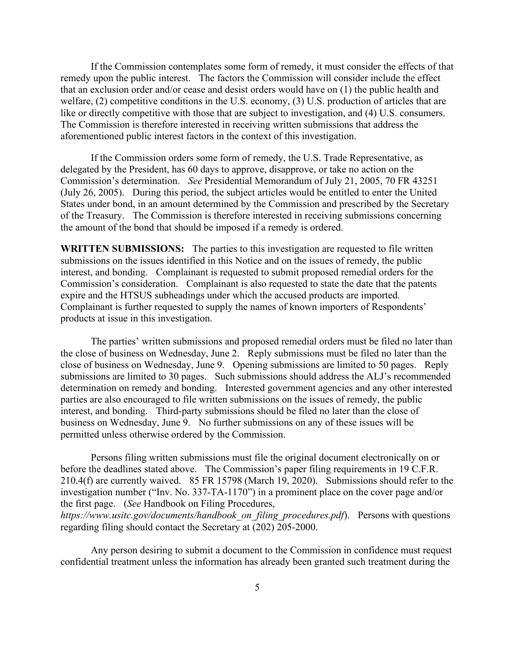If the Commission contemplates some form of remedy, it must consider the effects of that remedy upon the public interest. The factors the Commission will consider include the effect that an exclusion order and/or cease and desist orders would have on (1) the public health and welfare, (2) competitive conditions in the U.S. economy, (3) U.S. production of articles that are like or directly competitive with those that are subject to investigation, and (4) U.S. consumers. The Commission is therefore interested in receiving written submissions that address the aforementioned public interest factors in the context of this investigation.

If the Commission orders some form of remedy, the U.S. Trade Representative, as delegated by the President, has 60 days to approve, disapprove, or take no action on the Commission's determination. *See* Presidential Memorandum of July 21, 2005, 70 FR 43251 (July 26, 2005). During this period, the subject articles would be entitled to enter the United States under bond, in an amount determined by the Commission and prescribed by the Secretary of the Treasury. The Commission is therefore interested in receiving submissions concerning the amount of the bond that should be imposed if a remedy is ordered.

**WRITTEN SUBMISSIONS:** The parties to this investigation are requested to file written submissions on the issues identified in this Notice and on the issues of remedy, the public interest, and bonding. Complainant is requested to submit proposed remedial orders for the Commission's consideration. Complainant is also requested to state the date that the patents expire and the HTSUS subheadings under which the accused products are imported. Complainant is further requested to supply the names of known importers of Respondents' products at issue in this investigation.

The parties' written submissions and proposed remedial orders must be filed no later than the close of business on Wednesday, June 2. Reply submissions must be filed no later than the close of business on Wednesday, June 9. Opening submissions are limited to 50 pages. Reply submissions are limited to 30 pages. Such submissions should address the ALJ's recommended determination on remedy and bonding. Interested government agencies and any other interested parties are also encouraged to file written submissions on the issues of remedy, the public interest, and bonding. Third-party submissions should be filed no later than the close of business on Wednesday, June 9. No further submissions on any of these issues will be permitted unless otherwise ordered by the Commission.

Persons filing written submissions must file the original document electronically on or before the deadlines stated above. The Commission's paper filing requirements in 19 C.F.R. 210.4(f) are currently waived. 85 FR 15798 (March 19, 2020). Submissions should refer to the investigation number ("Inv. No. 337-TA-1170") in a prominent place on the cover page and/or the first page. (*See* Handbook on Filing Procedures,

*https://www.usitc.gov/documents/handbook\_on\_filing\_procedures.pdf*). Persons with questions regarding filing should contact the Secretary at (202) 205-2000.

Any person desiring to submit a document to the Commission in confidence must request confidential treatment unless the information has already been granted such treatment during the